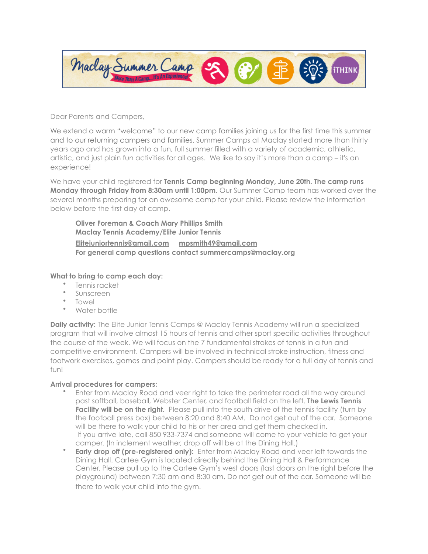

Dear Parents and Campers,

We extend a warm "welcome" to our new camp families joining us for the first time this summer and to our returning campers and families. Summer Camps at Maclay started more than thirty years ago and has grown into a fun, full summer filled with a variety of academic, athletic, artistic, and just plain fun activities for all ages. We like to say it's more than a camp – it's an experience!

We have your child registered for **Tennis Camp beginning Monday, June 20th. The camp runs Monday through Friday from 8:30am until 1:00pm**. Our Summer Camp team has worked over the several months preparing for an awesome camp for your child. Please review the information below before the first day of camp.

**Oliver Foreman & Coach Mary Phillips Smith Maclay Tennis Academy/Elite Junior Tennis [Elitejuniortennis@gmail.com](mailto:Elitejuniortennis@gmail.com) [mpsmith49@gmail.com](mailto:mpsmith49@gmail.com) For general camp questions contact summercamps@maclay.org**

## **What to bring to camp each day:**

- Tennis racket
- Sunscreen
- Towel
- Water bottle

**Daily activity:** The Elite Junior Tennis Camps @ Maclay Tennis Academy will run a specialized program that will involve almost 15 hours of tennis and other sport specific activities throughout the course of the week. We will focus on the 7 fundamental strokes of tennis in a fun and competitive environment. Campers will be involved in technical stroke instruction, fitness and footwork exercises, games and point play. Campers should be ready for a full day of tennis and fun!

### **Arrival procedures for campers:**

- Enter from Maclay Road and veer right to take the perimeter road all the way around past softball, baseball, Webster Center, and football field on the left. **The Lewis Tennis Facility will be on the right.** Please pull into the south drive of the tennis facility (turn by the football press box) between 8:20 and 8:40 AM. Do not get out of the car. Someone will be there to walk your child to his or her area and get them checked in. If you arrive late, call 850 933-7374 and someone will come to your vehicle to get your camper. (In inclement weather, drop off will be at the Dining Hall.)
- **Early drop off (pre-registered only):** Enter from Maclay Road and veer left towards the Dining Hall. Cartee Gym is located directly behind the Dining Hall & Performance Center. Please pull up to the Cartee Gym's west doors (last doors on the right before the playground) between 7:30 am and 8:30 am. Do not get out of the car. Someone will be there to walk your child into the gym.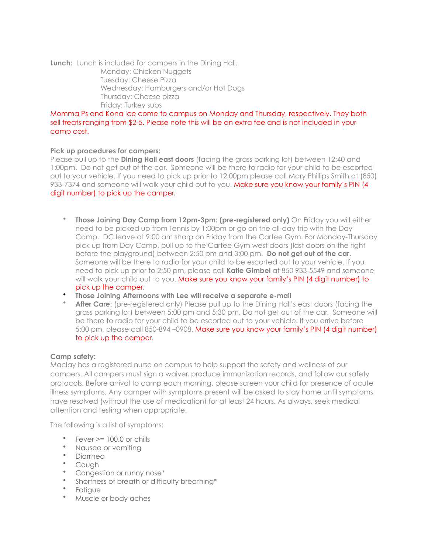**Lunch:** Lunch is included for campers in the Dining Hall.

Monday: Chicken Nuggets Tuesday: Cheese Pizza Wednesday: Hamburgers and/or Hot Dogs Thursday: Cheese pizza Friday: Turkey subs

# Momma Ps and Kona Ice come to campus on Monday and Thursday, respectively. They both sell treats ranging from \$2-5. Please note this will be an extra fee and is not included in your camp cost.

# **Pick up procedures for campers:**

Please pull up to the **Dining Hall east doors** (facing the grass parking lot) between 12:40 and 1:00pm. Do not get out of the car. Someone will be there to radio for your child to be escorted out to your vehicle. If you need to pick up prior to 12:00pm please call Mary Phillips Smith at (850) 933-7374 and someone will walk your child out to you. Make sure you know your family's PIN (4 digit number) to pick up the camper.

- **Those Joining Day Camp from 12pm-3pm: (pre-registered only)** On Friday you will either need to be picked up from Tennis by 1:00pm or go on the all-day trip with the Day Camp. DC leave at 9:00 am sharp on Friday from the Cartee Gym. For Monday-Thursday pick up from Day Camp, pull up to the Cartee Gym west doors (last doors on the right before the playground) between 2:50 pm and 3:00 pm. **Do not get out of the car.** Someone will be there to radio for your child to be escorted out to your vehicle. If you need to pick up prior to 2:50 pm, please call **Katie Gimbel** at 850 933-5549 and someone will walk your child out to you. Make sure you know your family's PIN (4 digit number) to pick up the camper.
- **Those Joining Afternoons with Lee will receive a separate e-mail**
- **After Care**: (pre-registered only) Please pull up to the Dining Hall's east doors (facing the grass parking lot) between 5:00 pm and 5:30 pm. Do not get out of the car. Someone will be there to radio for your child to be escorted out to your vehicle. If you arrive before 5:00 pm, please call 850-894 –0908. Make sure you know your family's PIN (4 digit number) to pick up the camper.

### **Camp safety:**

Maclay has a registered nurse on campus to help support the safety and wellness of our campers. All campers must sign a waiver, produce immunization records, and follow our safety protocols. Before arrival to camp each morning, please screen your child for presence of acute illness symptoms. Any camper with symptoms present will be asked to stay home until symptoms have resolved (without the use of medication) for at least 24 hours. As always, seek medical attention and testing when appropriate.

The following is a list of symptoms:

- Fever  $>= 100.0$  or chills<br>• Nauses enveniting
- Nausea or vomiting
- Diarrhea
- Cough
- Congestion or runny nose\*
- Shortness of breath or difficulty breathing\*
- Fatigue
- Muscle or body aches